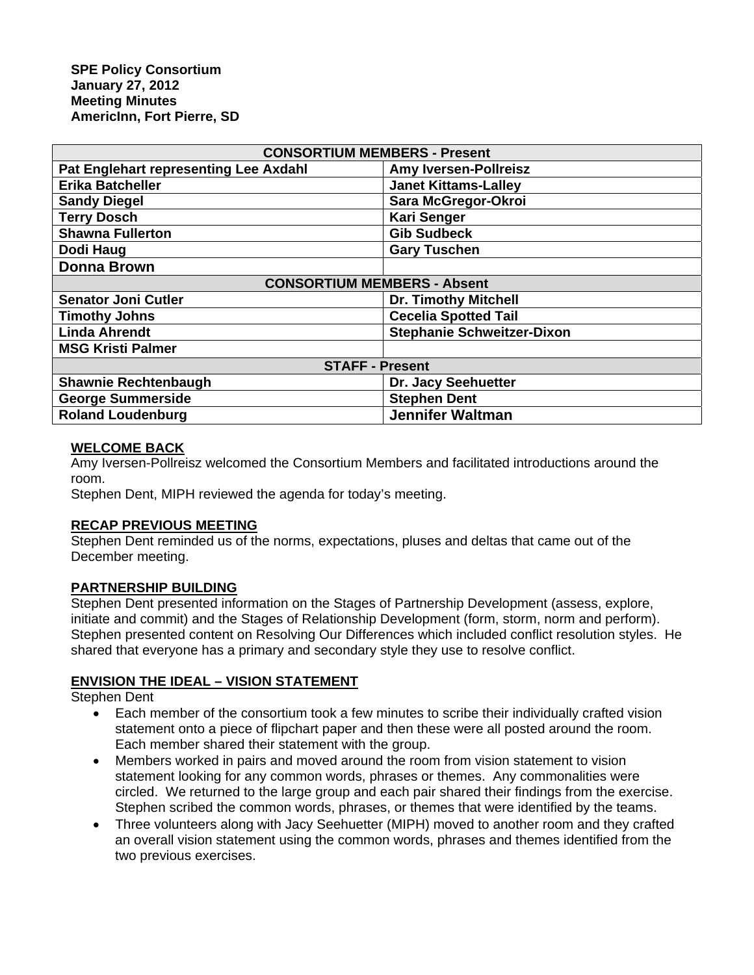| <b>CONSORTIUM MEMBERS - Present</b>   |                                   |
|---------------------------------------|-----------------------------------|
| Pat Englehart representing Lee Axdahl | <b>Amy Iversen-Pollreisz</b>      |
| <b>Erika Batcheller</b>               | <b>Janet Kittams-Lalley</b>       |
| <b>Sandy Diegel</b>                   | Sara McGregor-Okroi               |
| <b>Terry Dosch</b>                    | <b>Kari Senger</b>                |
| <b>Shawna Fullerton</b>               | <b>Gib Sudbeck</b>                |
| Dodi Haug                             | <b>Gary Tuschen</b>               |
| <b>Donna Brown</b>                    |                                   |
| <b>CONSORTIUM MEMBERS - Absent</b>    |                                   |
| <b>Senator Joni Cutler</b>            | <b>Dr. Timothy Mitchell</b>       |
| <b>Timothy Johns</b>                  | <b>Cecelia Spotted Tail</b>       |
| <b>Linda Ahrendt</b>                  | <b>Stephanie Schweitzer-Dixon</b> |
| <b>MSG Kristi Palmer</b>              |                                   |
| <b>STAFF - Present</b>                |                                   |
| <b>Shawnie Rechtenbaugh</b>           | Dr. Jacy Seehuetter               |
| <b>George Summerside</b>              | <b>Stephen Dent</b>               |
| <b>Roland Loudenburg</b>              | <b>Jennifer Waltman</b>           |

### **WELCOME BACK**

Amy Iversen-Pollreisz welcomed the Consortium Members and facilitated introductions around the room.

Stephen Dent, MIPH reviewed the agenda for today's meeting.

### **RECAP PREVIOUS MEETING**

Stephen Dent reminded us of the norms, expectations, pluses and deltas that came out of the December meeting.

#### **PARTNERSHIP BUILDING**

Stephen Dent presented information on the Stages of Partnership Development (assess, explore, initiate and commit) and the Stages of Relationship Development (form, storm, norm and perform). Stephen presented content on Resolving Our Differences which included conflict resolution styles. He shared that everyone has a primary and secondary style they use to resolve conflict.

#### **ENVISION THE IDEAL – VISION STATEMENT**

Stephen Dent

- Each member of the consortium took a few minutes to scribe their individually crafted vision statement onto a piece of flipchart paper and then these were all posted around the room. Each member shared their statement with the group.
- Members worked in pairs and moved around the room from vision statement to vision statement looking for any common words, phrases or themes. Any commonalities were circled. We returned to the large group and each pair shared their findings from the exercise. Stephen scribed the common words, phrases, or themes that were identified by the teams.
- Three volunteers along with Jacy Seehuetter (MIPH) moved to another room and they crafted an overall vision statement using the common words, phrases and themes identified from the two previous exercises.